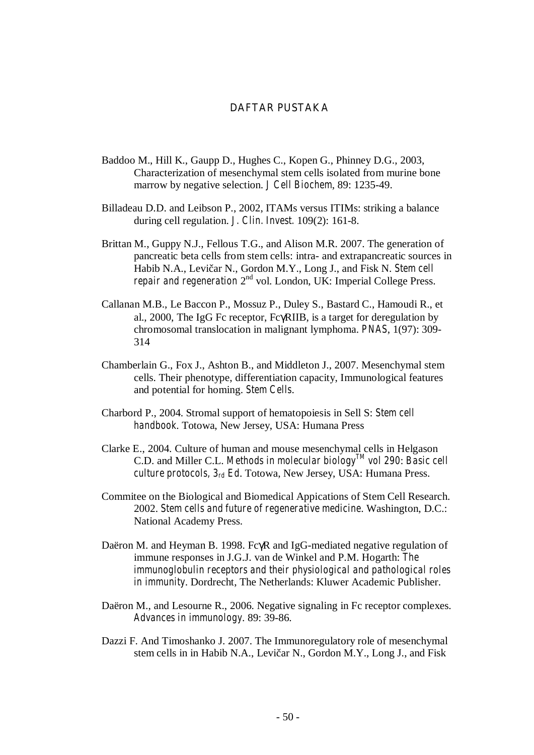## **DAFTAR PUSTAKA**

- Baddoo M., Hill K., Gaupp D., Hughes C., Kopen G., Phinney D.G., 2003, Characterization of mesenchymal stem cells isolated from murine bone marrow by negative selection. *J Cell Biochem*, 89: 1235-49.
- Billadeau D.D. and Leibson P., 2002, ITAMs versus ITIMs: striking a balance during cell regulation. *J. Clin. Invest.* 109(2): 161-8.
- Brittan M., Guppy N.J., Fellous T.G., and Alison M.R. 2007. The generation of pancreatic beta cells from stem cells: intra- and extrapancreatic sources in Habib N.A., Levi ar N., Gordon M.Y., Long J., and Fisk N. *Stem cell repair and regeneration*  $2^{nd}$  vol. London, UK: Imperial College Press.
- Callanan M.B., Le Baccon P., Mossuz P., Duley S., Bastard C., Hamoudi R., et al., 2000, The IgG Fc receptor, FcγRIIB, is a target for deregulation by chromosomal translocation in malignant lymphoma. *PNAS*, 1(97): 309- 314
- Chamberlain G., Fox J., Ashton B., and Middleton J., 2007. Mesenchymal stem cells. Their phenotype, differentiation capacity, Immunological features and potential for homing. *Stem Cells*.
- Charbord P., 2004. Stromal support of hematopoiesis in Sell S: *Stem cell handbook*. Totowa, New Jersey, USA: Humana Press
- Clarke E., 2004. Culture of human and mouse mesenchymal cells in Helgason C.D. and Miller C.L. *Methods in molecular biologyTM vol 290*: *Basic cell culture protocols, 3rd Ed*. Totowa, New Jersey, USA: Humana Press.
- Commitee on the Biological and Biomedical Appications of Stem Cell Research. 2002. *Stem cells and future of regenerative medicine*. Washington, D.C.: National Academy Press.
- Daëron M. and Heyman B. 1998. FcγR and IgG-mediated negative regulation of immune responses in J.G.J. van de Winkel and P.M. Hogarth: *The immunoglobulin receptors and their physiological and pathological roles in immunity*. Dordrecht, The Netherlands: Kluwer Academic Publisher.
- Daëron M., and Lesourne R., 2006. Negative signaling in Fc receptor complexes. *Advances in immunology*. 89: 39-86.
- Dazzi F. And Timoshanko J. 2007. The Immunoregulatory role of mesenchymal stem cells in in Habib N.A., Levi ar N., Gordon M.Y., Long J., and Fisk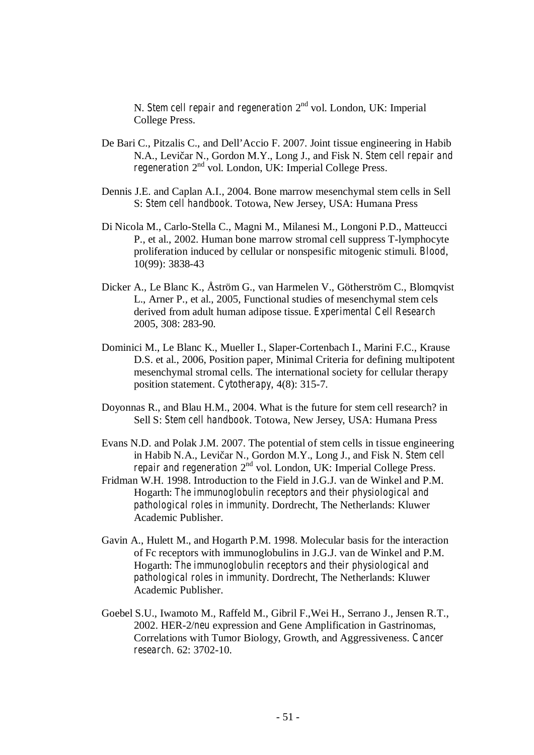N. *Stem cell repair and regeneration* 2nd vol. London, UK: Imperial College Press.

- De Bari C., Pitzalis C., and Dell'Accio F. 2007. Joint tissue engineering in Habib N.A., Levičar N., Gordon M.Y., Long J., and Fisk N. *Stem cell repair and regeneration* 2nd vol. London, UK: Imperial College Press.
- Dennis J.E. and Caplan A.I., 2004. Bone marrow mesenchymal stem cells in Sell S: *Stem cell handbook*. Totowa, New Jersey, USA: Humana Press
- Di Nicola M., Carlo-Stella C., Magni M., Milanesi M., Longoni P.D., Matteucci P., et al., 2002. Human bone marrow stromal cell suppress T-lymphocyte proliferation induced by cellular or nonspesific mitogenic stimuli. *Blood*, 10(99): 3838-43
- Dicker A., Le Blanc K., Åström G., van Harmelen V., Götherström C., Blomqvist L., Arner P., et al., 2005, Functional studies of mesenchymal stem cels derived from adult human adipose tissue. *Experimental Cell Research*  2005, 308: 283-90.
- Dominici M., Le Blanc K., Mueller I., Slaper-Cortenbach I., Marini F.C., Krause D.S. et al., 2006, Position paper, Minimal Criteria for defining multipotent mesenchymal stromal cells. The international society for cellular therapy position statement. *Cytotherapy*, 4(8): 315-7.
- Doyonnas R., and Blau H.M., 2004. What is the future for stem cell research? in Sell S: *Stem cell handbook*. Totowa, New Jersey, USA: Humana Press
- Evans N.D. and Polak J.M. 2007. The potential of stem cells in tissue engineering in Habib N.A., Levi ar N., Gordon M.Y., Long J., and Fisk N. *Stem cell repair and regeneration*  $2^{nd}$  vol. London, UK: Imperial College Press.
- Fridman W.H. 1998. Introduction to the Field in J.G.J. van de Winkel and P.M. Hogarth: *The immunoglobulin receptors and their physiological and pathological roles in immunity*. Dordrecht, The Netherlands: Kluwer Academic Publisher.
- Gavin A., Hulett M., and Hogarth P.M. 1998. Molecular basis for the interaction of Fc receptors with immunoglobulins in J.G.J. van de Winkel and P.M. Hogarth: *The immunoglobulin receptors and their physiological and pathological roles in immunity*. Dordrecht, The Netherlands: Kluwer Academic Publisher.
- Goebel S.U., Iwamoto M., Raffeld M., Gibril F.,Wei H., Serrano J., Jensen R.T., 2002. HER-2/*neu* expression and Gene Amplification in Gastrinomas, Correlations with Tumor Biology, Growth, and Aggressiveness. *Cancer research*. 62: 3702-10.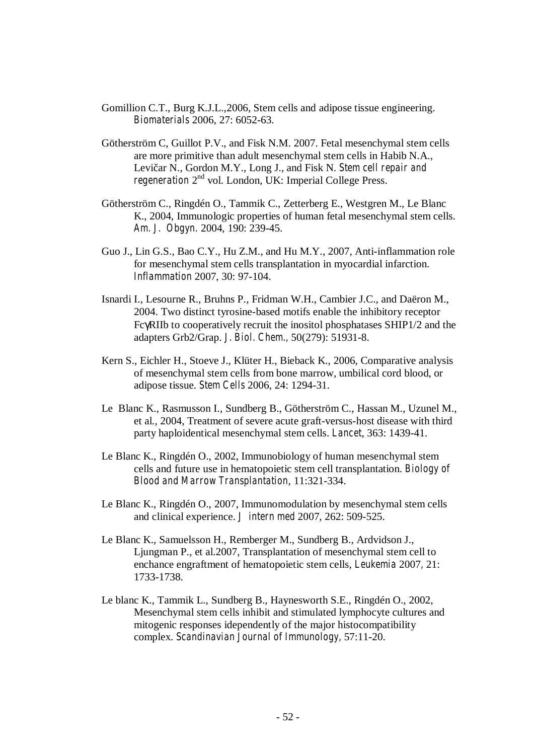- Gomillion C.T., Burg K.J.L.,2006, Stem cells and adipose tissue engineering. *Biomaterials* 2006, 27: 6052-63.
- Götherström C, Guillot P.V., and Fisk N.M. 2007. Fetal mesenchymal stem cells are more primitive than adult mesenchymal stem cells in Habib N.A., Levi ar N., Gordon M.Y., Long J., and Fisk N. *Stem cell repair and regeneration* 2nd vol. London, UK: Imperial College Press.
- Götherström C., Ringdén O., Tammik C., Zetterberg E., Westgren M., Le Blanc K., 2004, Immunologic properties of human fetal mesenchymal stem cells. *Am. J. Obgyn.* 2004, 190: 239-45.
- Guo J., Lin G.S., Bao C.Y., Hu Z.M., and Hu M.Y., 2007, Anti-inflammation role for mesenchymal stem cells transplantation in myocardial infarction. *Inflammation* 2007, 30: 97-104.
- Isnardi I., Lesourne R., Bruhns P., Fridman W.H., Cambier J.C., and Daëron M., 2004. Two distinct tyrosine-based motifs enable the inhibitory receptor FcγRIIb to cooperatively recruit the inositol phosphatases SHIP1/2 and the adapters Grb2/Grap. *J. Biol. Chem.,* 50(279): 51931-8.
- Kern S., Eichler H., Stoeve J., Klüter H., Bieback K., 2006, Comparative analysis of mesenchymal stem cells from bone marrow, umbilical cord blood, or adipose tissue. *Stem Cells* 2006, 24: 1294-31.
- Le Blanc K., Rasmusson I., Sundberg B., Götherström C., Hassan M., Uzunel M., et al., 2004, Treatment of severe acute graft-versus-host disease with third party haploidentical mesenchymal stem cells. *Lancet*, 363: 1439-41.
- Le Blanc K., Ringdén O., 2002, Immunobiology of human mesenchymal stem cells and future use in hematopoietic stem cell transplantation. *Biology of Blood and Marrow Transplantation*, 11:321-334.
- Le Blanc K., Ringdén O., 2007, Immunomodulation by mesenchymal stem cells and clinical experience. *J intern med* 2007, 262: 509-525.
- Le Blanc K., Samuelsson H., Remberger M., Sundberg B., Ardvidson J., Ljungman P., et al.2007, Transplantation of mesenchymal stem cell to enchance engraftment of hematopoietic stem cells, *Leukemia* 2007*,* 21: 1733-1738.
- Le blanc K., Tammik L., Sundberg B., Haynesworth S.E., Ringdén O., 2002, Mesenchymal stem cells inhibit and stimulated lymphocyte cultures and mitogenic responses idependently of the major histocompatibility complex. *Scandinavian Journal of Immunology,* 57:11-20.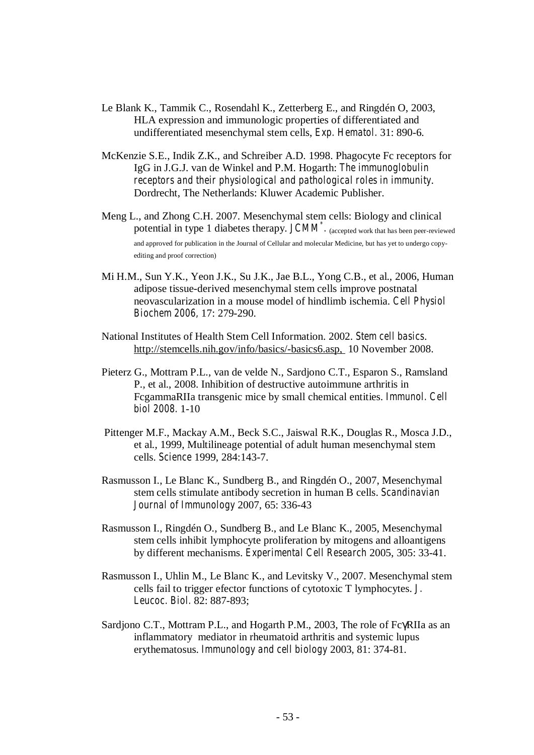- Le Blank K., Tammik C., Rosendahl K., Zetterberg E., and Ringdén O, 2003, HLA expression and immunologic properties of differentiated and undifferentiated mesenchymal stem cells, *Exp. Hematol.* 31: 890-6.
- McKenzie S.E., Indik Z.K., and Schreiber A.D. 1998. Phagocyte Fc receptors for IgG in J.G.J. van de Winkel and P.M. Hogarth: *The immunoglobulin receptors and their physiological and pathological roles in immunity*. Dordrecht, The Netherlands: Kluwer Academic Publisher.
- Meng L., and Zhong C.H. 2007. Mesenchymal stem cells: Biology and clinical potential in type 1 diabetes therapy. *JCMM*<sup>\*</sup>. (accepted work that has been peer-reviewed and approved for publication in the Journal of Cellular and molecular Medicine, but has yet to undergo copyediting and proof correction)
- Mi H.M., Sun Y.K., Yeon J.K., Su J.K., Jae B.L., Yong C.B., et al., 2006, Human adipose tissue-derived mesenchymal stem cells improve postnatal neovascularization in a mouse model of hindlimb ischemia. *Cell Physiol Biochem 2006,* 17: 279-290.
- National Institutes of Health Stem Cell Information. 2002. *Stem cell basics*. http://stemcells.nih.gov/info/basics/-basics6.asp, 10 November 2008.
- Pieterz G., Mottram P.L., van de velde N., Sardjono C.T., Esparon S., Ramsland P., et al., 2008. Inhibition of destructive autoimmune arthritis in FcgammaRIIa transgenic mice by small chemical entities. *Immunol. Cell biol 2008.* 1-10
- Pittenger M.F., Mackay A.M., Beck S.C., Jaiswal R.K., Douglas R., Mosca J.D., et al., 1999, Multilineage potential of adult human mesenchymal stem cells. *Science* 1999, 284:143-7.
- Rasmusson I., Le Blanc K., Sundberg B., and Ringdén O., 2007, Mesenchymal stem cells stimulate antibody secretion in human B cells. *Scandinavian Journal of Immunology* 2007, 65: 336-43
- Rasmusson I., Ringdén O., Sundberg B., and Le Blanc K., 2005, Mesenchymal stem cells inhibit lymphocyte proliferation by mitogens and alloantigens by different mechanisms. *Experimental Cell Research* 2005, 305: 33-41.
- Rasmusson I., Uhlin M., Le Blanc K., and Levitsky V., 2007. Mesenchymal stem cells fail to trigger efector functions of cytotoxic T lymphocytes. *J. Leucoc. Biol.* 82: 887-893;
- Sardjono C.T., Mottram P.L., and Hogarth P.M., 2003, The role of FcγRIIa as an inflammatory mediator in rheumatoid arthritis and systemic lupus erythematosus. *Immunology and cell biology* 2003, 81: 374-81.